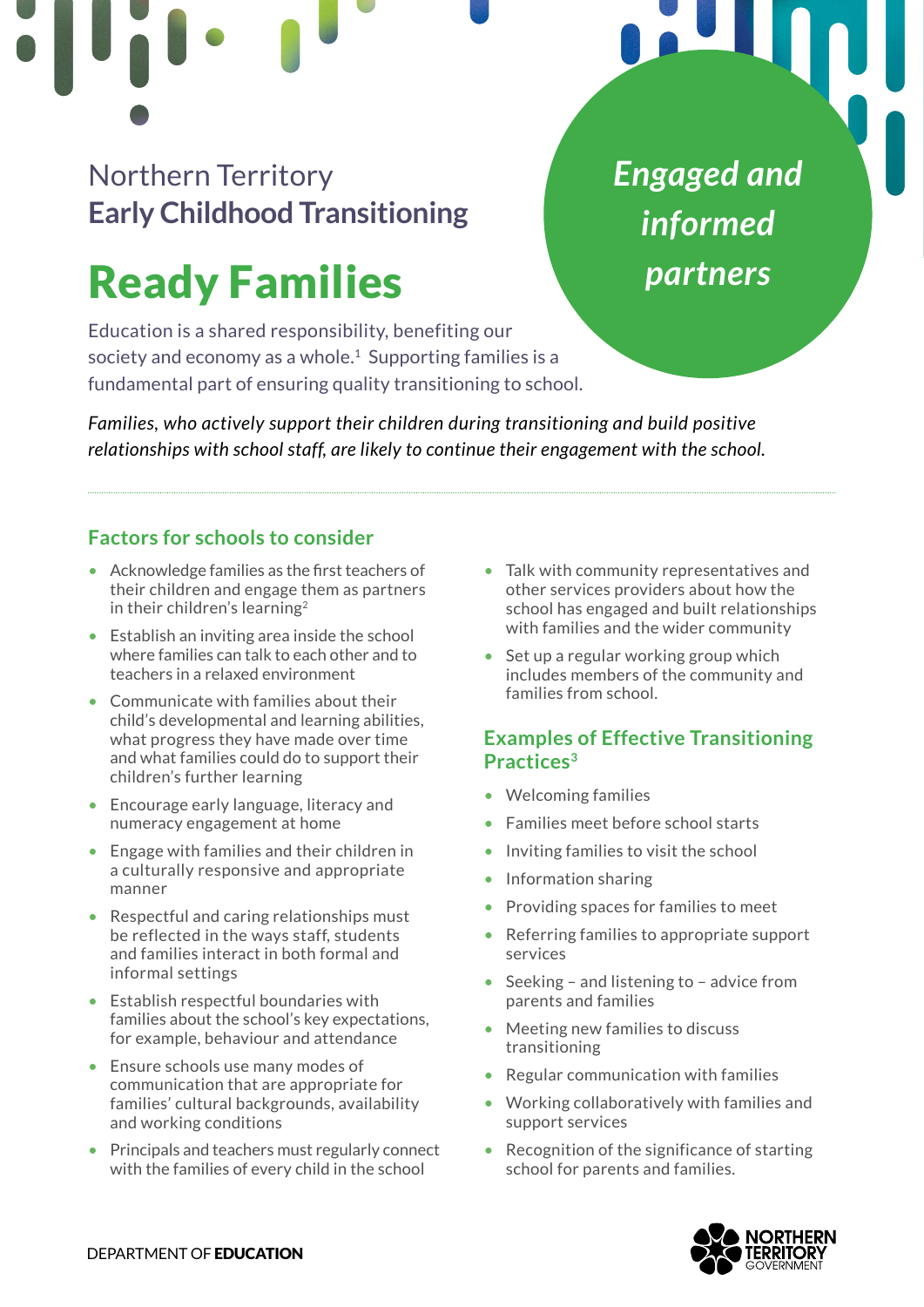## Northern Territory **Early Childhood Transitioning**

# Ready Families

Education is a shared responsibility, benefiting our society and economy as a whole.<sup>1</sup> Supporting families is a fundamental part of ensuring quality transitioning to school.

*Families, who actively support their children during transitioning and build positive relationships with school staff, are likely to continue their engagement with the school.* 

## **Factors for schools to consider**

- Acknowledge families as the first teachers of their children and engage them as partners in their children's learning[2](#page-1-0)
- Establish an inviting area inside the school where families can talk to each other and to teachers in a relaxed environment
- Communicate with families about their child's developmental and learning abilities, what progress they have made over time and what families could do to support their children's further learning
- Encourage early language, literacy and numeracy engagement at home
- Engage with families and their children in a culturally responsive and appropriate manner
- Respectful and caring relationships must be reflected in the ways staff, students and families interact in both formal and informal settings
- Establish respectful boundaries with families about the school's key expectations, for example, behaviour and attendance
- Ensure schools use many modes of communication that are appropriate for families' cultural backgrounds, availability and working conditions
- Principals and teachers must regularly connect with the families of every child in the school

• Talk with community representatives and other services providers about how the school has engaged and built relationships with families and the wider community

*Engaged and* 

*informed* 

*partners*

• Set up a regular working group which includes members of the community and families from school.

## **Examples of Effective Transitioning Practices[3](#page-1-0)**

- Welcoming families
- Families meet before school starts
- Inviting families to visit the school
- Information sharing
- Providing spaces for families to meet
- Referring families to appropriate support services
- Seeking and listening to advice from parents and families
- Meeting new families to discuss transitioning
- Regular communication with families
- Working collaboratively with families and support services
- Recognition of the significance of starting school for parents and families.